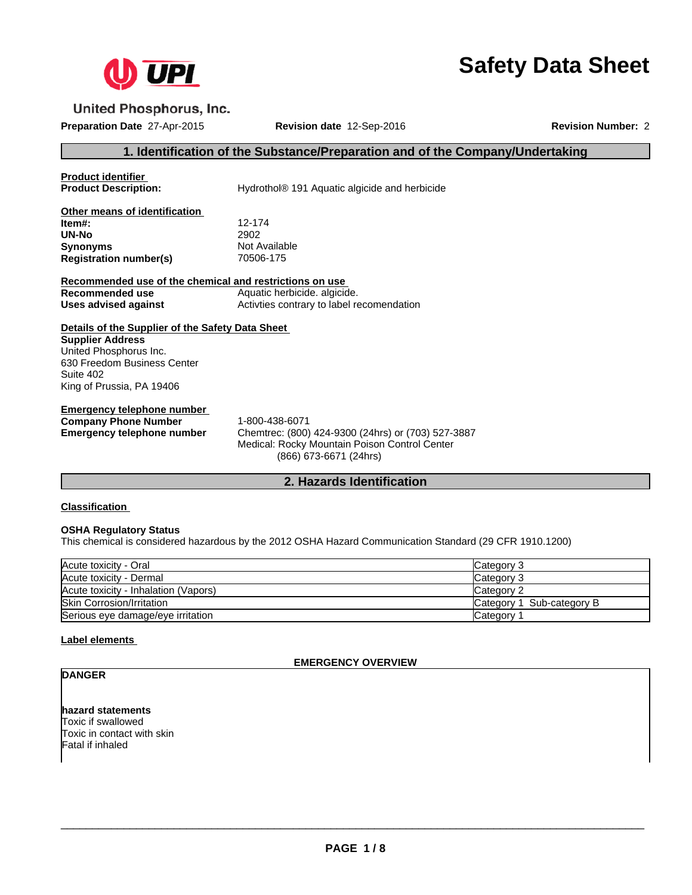

# **Safety Data Sheet**

**United Phosphorus, Inc.** 

**Preparation Date** 27-Apr-2015 **Revision date** 12-Sep-2016 **Revision Number:** 2

#### **1. Identification of the Substance/Preparation and of the Company/Undertaking**

**Product identifier**

**Hydrothol® 191 Aquatic algicide and herbicide** 

| Other means of identification |               |
|-------------------------------|---------------|
| ltem#:                        | 12-174        |
| UN-No                         | 2902          |
| Synonyms                      | Not Available |
| <b>Registration number(s)</b> | 70506-175     |

| Recommended use of the chemical and restrictions on use |                                            |  |  |
|---------------------------------------------------------|--------------------------------------------|--|--|
| Recommended use                                         | Aquatic herbicide. algicide.               |  |  |
| Uses advised against                                    | Activities contrary to label recomendation |  |  |

**Details of the Supplier of the Safety Data Sheet Supplier Address** United Phosphorus Inc. 630 Freedom Business Center Suite 402 King of Prussia, PA 19406

**Emergency telephone number Company Phone Number** 1-800-438-6071

**Emergency telephone number** Chemtrec: (800) 424-9300 (24hrs) or (703) 527-3887 Medical: Rocky Mountain Poison Control Center (866) 673-6671 (24hrs)

#### **2. Hazards Identification**

**Classification**

#### **OSHA Regulatory Status**

This chemical is considered hazardous by the 2012 OSHA Hazard Communication Standard (29 CFR 1910.1200)

| Acute toxicity - Oral                | <b>Category 3</b>         |
|--------------------------------------|---------------------------|
| Acute toxicity - Dermal              | Category 3                |
| Acute toxicity - Inhalation (Vapors) | Category 2                |
| <b>Skin Corrosion/Irritation</b>     | Category 1 Sub-category B |
| Serious eye damage/eye irritation    | Category <sup>1</sup>     |

#### **Label elements**

#### **EMERGENCY OVERVIEW**

### **DANGER**

**hazard statements** Toxic if swallowed Toxic in contact with skin Fatal if inhaled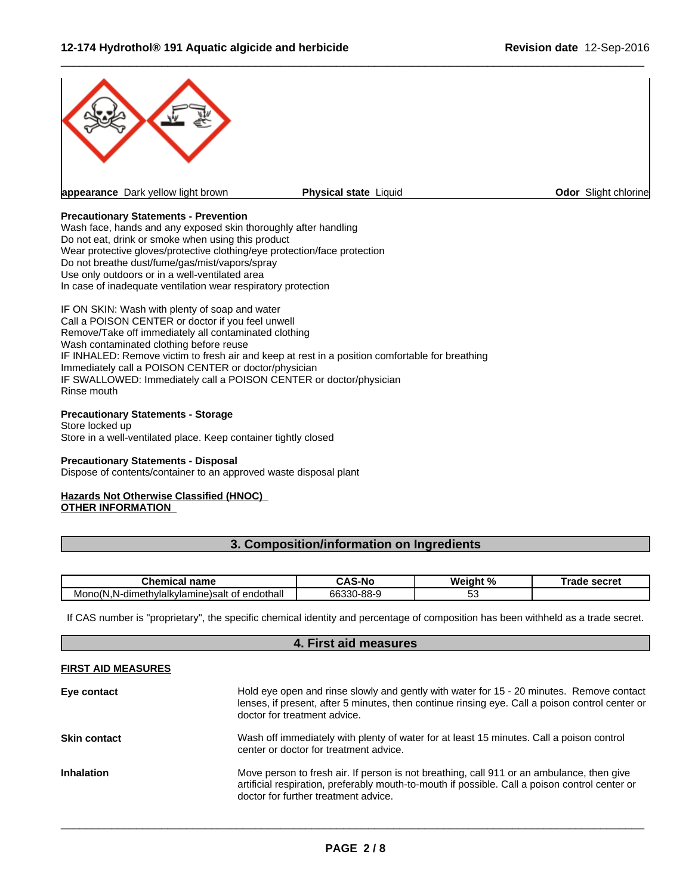

 $\overline{\phantom{a}}$  ,  $\overline{\phantom{a}}$  ,  $\overline{\phantom{a}}$  ,  $\overline{\phantom{a}}$  ,  $\overline{\phantom{a}}$  ,  $\overline{\phantom{a}}$  ,  $\overline{\phantom{a}}$  ,  $\overline{\phantom{a}}$  ,  $\overline{\phantom{a}}$  ,  $\overline{\phantom{a}}$  ,  $\overline{\phantom{a}}$  ,  $\overline{\phantom{a}}$  ,  $\overline{\phantom{a}}$  ,  $\overline{\phantom{a}}$  ,  $\overline{\phantom{a}}$  ,  $\overline{\phantom{a}}$ 

#### **Precautionary Statements - Prevention**

Wash face, hands and any exposed skin thoroughly after handling Do not eat, drink or smoke when using this product Wear protective gloves/protective clothing/eye protection/face protection Do not breathe dust/fume/gas/mist/vapors/spray Use only outdoors or in a well-ventilated area In case of inadequate ventilation wear respiratory protection

IF ON SKIN: Wash with plenty of soap and water Call a POISON CENTER or doctor if you feel unwell Remove/Take off immediately all contaminated clothing Wash contaminated clothing before reuse IF INHALED: Remove victim to fresh air and keep at rest in a position comfortable for breathing Immediately call a POISON CENTER or doctor/physician IF SWALLOWED: Immediately call a POISON CENTER or doctor/physician Rinse mouth

#### **Precautionary Statements - Storage**

Store locked up Store in a well-ventilated place. Keep container tightly closed

#### **Precautionary Statements - Disposal**

Dispose of contents/container to an approved waste disposal plant

#### **Hazards Not Otherwise Classified (HNOC) OTHER INFORMATION**

#### **3. Composition/information on Ingredients**

| name<br>$-$ 100 $-$ 100 $-$ 100 $-$<br>ш<br>$\sim$                                      | <b>S-Nc</b><br>-         | n.<br>WΔ<br>ռ<br>ш<br>70. | <b>000000</b><br>5661 GI |
|-----------------------------------------------------------------------------------------|--------------------------|---------------------------|--------------------------|
| endothall<br>- 11<br>nıne)salt<br>nvlalkvlam<br>Mor<br>aır<br>netr<br>או זר<br>OT.<br>N | $\circ$<br>ĥĥ<br>$-0.00$ | ັ                         |                          |

If CAS number is "proprietary", the specific chemical identity and percentage of composition has been withheld as a trade secret.

# **4. First aid measures FIRST AID MEASURES Eye contact** Hold eye open and rinse slowly and gently with water for 15 - 20 minutes. Remove contact lenses, if present, after 5 minutes, then continue rinsing eye. Call a poison control center or doctor for treatment advice. **Skin contact** Wash off immediately with plenty of water for at least 15 minutes. Call a poison control center or doctor for treatment advice. **Inhalation** Move person to fresh air. If person is not breathing, call 911 or an ambulance, then give artificial respiration, preferably mouth-to-mouth if possible. Call a poison control center or doctor for further treatment advice.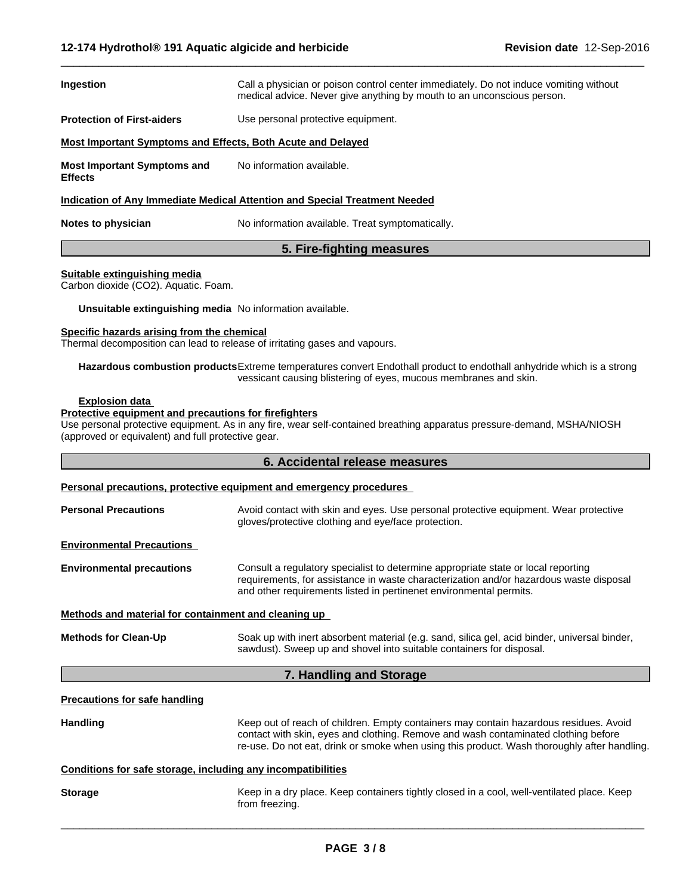| Ingestion                                                                  | Call a physician or poison control center immediately. Do not induce vomiting without<br>medical advice. Never give anything by mouth to an unconscious person. |  |
|----------------------------------------------------------------------------|-----------------------------------------------------------------------------------------------------------------------------------------------------------------|--|
| <b>Protection of First-aiders</b>                                          | Use personal protective equipment.                                                                                                                              |  |
| Most Important Symptoms and Effects, Both Acute and Delayed                |                                                                                                                                                                 |  |
| <b>Most Important Symptoms and</b><br>Effects                              | No information available.                                                                                                                                       |  |
| Indication of Any Immediate Medical Attention and Special Treatment Needed |                                                                                                                                                                 |  |

 $\overline{\phantom{a}}$  ,  $\overline{\phantom{a}}$  ,  $\overline{\phantom{a}}$  ,  $\overline{\phantom{a}}$  ,  $\overline{\phantom{a}}$  ,  $\overline{\phantom{a}}$  ,  $\overline{\phantom{a}}$  ,  $\overline{\phantom{a}}$  ,  $\overline{\phantom{a}}$  ,  $\overline{\phantom{a}}$  ,  $\overline{\phantom{a}}$  ,  $\overline{\phantom{a}}$  ,  $\overline{\phantom{a}}$  ,  $\overline{\phantom{a}}$  ,  $\overline{\phantom{a}}$  ,  $\overline{\phantom{a}}$ 

**Notes to physician** No information available. Treat symptomatically.

#### **5. Fire-fighting measures**

#### **Suitable extinguishing media**

Carbon dioxide (CO2). Aquatic. Foam.

**Unsuitable extinguishing media** No information available.

#### **Specific hazards arising from the chemical**

Thermal decomposition can lead to release of irritating gases and vapours.

**Hazardous combustion products**Extreme temperatures convert Endothall product to endothall anhydride which is a strong vessicant causing blistering of eyes, mucous membranes and skin.

#### **Explosion data**

#### **Protective equipment and precautions for firefighters**

Use personal protective equipment. As in any fire, wear self-contained breathing apparatus pressure-demand, MSHA/NIOSH (approved or equivalent) and full protective gear.

#### **6. Accidental release measures**

#### **Personal precautions, protective equipment and emergency procedures**

| <b>Personal Precautions</b>                                                                                                                                                                         | Avoid contact with skin and eyes. Use personal protective equipment. Wear protective<br>gloves/protective clothing and eye/face protection.                                                                                                                                |
|-----------------------------------------------------------------------------------------------------------------------------------------------------------------------------------------------------|----------------------------------------------------------------------------------------------------------------------------------------------------------------------------------------------------------------------------------------------------------------------------|
| <b>Environmental Precautions</b>                                                                                                                                                                    |                                                                                                                                                                                                                                                                            |
| <b>Environmental precautions</b>                                                                                                                                                                    | Consult a regulatory specialist to determine appropriate state or local reporting<br>requirements, for assistance in waste characterization and/or hazardous waste disposal<br>and other requirements listed in pertinenet environmental permits.                          |
| Methods and material for containment and cleaning up                                                                                                                                                |                                                                                                                                                                                                                                                                            |
| <b>Methods for Clean-Up</b><br>Soak up with inert absorbent material (e.g. sand, silica gel, acid binder, universal binder,<br>sawdust). Sweep up and shovel into suitable containers for disposal. |                                                                                                                                                                                                                                                                            |
|                                                                                                                                                                                                     | 7. Handling and Storage                                                                                                                                                                                                                                                    |
| <b>Precautions for safe handling</b>                                                                                                                                                                |                                                                                                                                                                                                                                                                            |
| <b>Handling</b>                                                                                                                                                                                     | Keep out of reach of children. Empty containers may contain hazardous residues. Avoid<br>contact with skin, eyes and clothing. Remove and wash contaminated clothing before<br>re-use. Do not eat, drink or smoke when using this product. Wash thoroughly after handling. |
| Conditions for safe storage, including any incompatibilities                                                                                                                                        |                                                                                                                                                                                                                                                                            |
| <b>Storage</b>                                                                                                                                                                                      | Keep in a dry place. Keep containers tightly closed in a cool, well-ventilated place. Keep<br>from freezing.                                                                                                                                                               |
|                                                                                                                                                                                                     |                                                                                                                                                                                                                                                                            |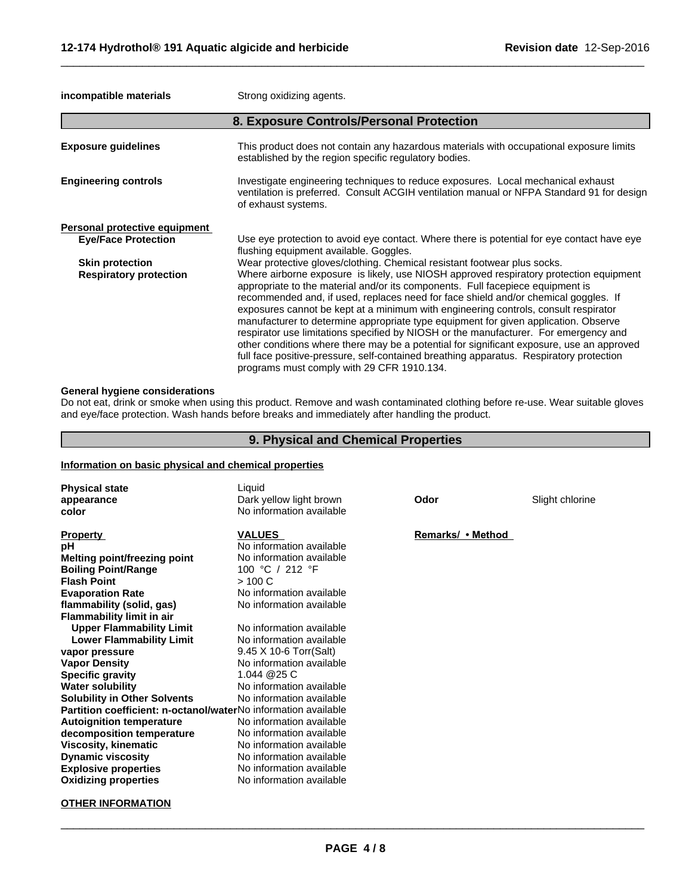**incompatible materials Strong oxidizing agents.** 

|                               | 8. Exposure Controls/Personal Protection                                                                                                                                                                                                                                                                                                                                                                                                                                                                                                                                                                                                                                                                                                                                    |
|-------------------------------|-----------------------------------------------------------------------------------------------------------------------------------------------------------------------------------------------------------------------------------------------------------------------------------------------------------------------------------------------------------------------------------------------------------------------------------------------------------------------------------------------------------------------------------------------------------------------------------------------------------------------------------------------------------------------------------------------------------------------------------------------------------------------------|
| <b>Exposure guidelines</b>    | This product does not contain any hazardous materials with occupational exposure limits<br>established by the region specific regulatory bodies.                                                                                                                                                                                                                                                                                                                                                                                                                                                                                                                                                                                                                            |
| <b>Engineering controls</b>   | Investigate engineering techniques to reduce exposures. Local mechanical exhaust<br>ventilation is preferred. Consult ACGIH ventilation manual or NFPA Standard 91 for design<br>of exhaust systems.                                                                                                                                                                                                                                                                                                                                                                                                                                                                                                                                                                        |
| Personal protective equipment |                                                                                                                                                                                                                                                                                                                                                                                                                                                                                                                                                                                                                                                                                                                                                                             |
| <b>Eye/Face Protection</b>    | Use eye protection to avoid eye contact. Where there is potential for eye contact have eye<br>flushing equipment available. Goggles.                                                                                                                                                                                                                                                                                                                                                                                                                                                                                                                                                                                                                                        |
| <b>Skin protection</b>        | Wear protective gloves/clothing. Chemical resistant footwear plus socks.                                                                                                                                                                                                                                                                                                                                                                                                                                                                                                                                                                                                                                                                                                    |
| <b>Respiratory protection</b> | Where airborne exposure is likely, use NIOSH approved respiratory protection equipment<br>appropriate to the material and/or its components. Full facepiece equipment is<br>recommended and, if used, replaces need for face shield and/or chemical goggles. If<br>exposures cannot be kept at a minimum with engineering controls, consult respirator<br>manufacturer to determine appropriate type equipment for given application. Observe<br>respirator use limitations specified by NIOSH or the manufacturer. For emergency and<br>other conditions where there may be a potential for significant exposure, use an approved<br>full face positive-pressure, self-contained breathing apparatus. Respiratory protection<br>programs must comply with 29 CFR 1910.134. |

 $\overline{\phantom{a}}$  ,  $\overline{\phantom{a}}$  ,  $\overline{\phantom{a}}$  ,  $\overline{\phantom{a}}$  ,  $\overline{\phantom{a}}$  ,  $\overline{\phantom{a}}$  ,  $\overline{\phantom{a}}$  ,  $\overline{\phantom{a}}$  ,  $\overline{\phantom{a}}$  ,  $\overline{\phantom{a}}$  ,  $\overline{\phantom{a}}$  ,  $\overline{\phantom{a}}$  ,  $\overline{\phantom{a}}$  ,  $\overline{\phantom{a}}$  ,  $\overline{\phantom{a}}$  ,  $\overline{\phantom{a}}$ 

#### **General hygiene considerations**

Do not eat, drink or smoke when using this product. Remove and wash contaminated clothing before re-use. Wear suitable gloves and eye/face protection. Wash hands before breaks and immediately after handling the product.

#### **9. Physical and Chemical Properties**

#### **Information on basic physical and chemical properties**

| <b>Physical state</b><br>appearance<br>color                                                                                                                                                                                                                                                                                                                                                                                                                                                                                                                                                                                                                                         | Liquid<br>Dark yellow light brown<br>No information available                                                                                                                                                                                                                                                                                                                                                                                                                                                           | Odor              | Slight chlorine |
|--------------------------------------------------------------------------------------------------------------------------------------------------------------------------------------------------------------------------------------------------------------------------------------------------------------------------------------------------------------------------------------------------------------------------------------------------------------------------------------------------------------------------------------------------------------------------------------------------------------------------------------------------------------------------------------|-------------------------------------------------------------------------------------------------------------------------------------------------------------------------------------------------------------------------------------------------------------------------------------------------------------------------------------------------------------------------------------------------------------------------------------------------------------------------------------------------------------------------|-------------------|-----------------|
| <b>Property</b><br>рH<br><b>Melting point/freezing point</b><br><b>Boiling Point/Range</b><br><b>Flash Point</b><br><b>Evaporation Rate</b><br>flammability (solid, gas)<br><b>Flammability limit in air</b><br><b>Upper Flammability Limit</b><br><b>Lower Flammability Limit</b><br>vapor pressure<br><b>Vapor Density</b><br><b>Specific gravity</b><br><b>Water solubility</b><br><b>Solubility in Other Solvents</b><br>Partition coefficient: n-octanol/waterNo information available<br><b>Autoignition temperature</b><br>decomposition temperature<br><b>Viscosity, kinematic</b><br><b>Dynamic viscosity</b><br><b>Explosive properties</b><br><b>Oxidizing properties</b> | <b>VALUES</b><br>No information available<br>No information available<br>100 °C / 212 °F<br>>100 C<br>No information available<br>No information available<br>No information available<br>No information available<br>9.45 X 10-6 Torr(Salt)<br>No information available<br>1.044 @25 C<br>No information available<br>No information available<br>No information available<br>No information available<br>No information available<br>No information available<br>No information available<br>No information available | Remarks/ • Method |                 |

#### **OTHER INFORMATION**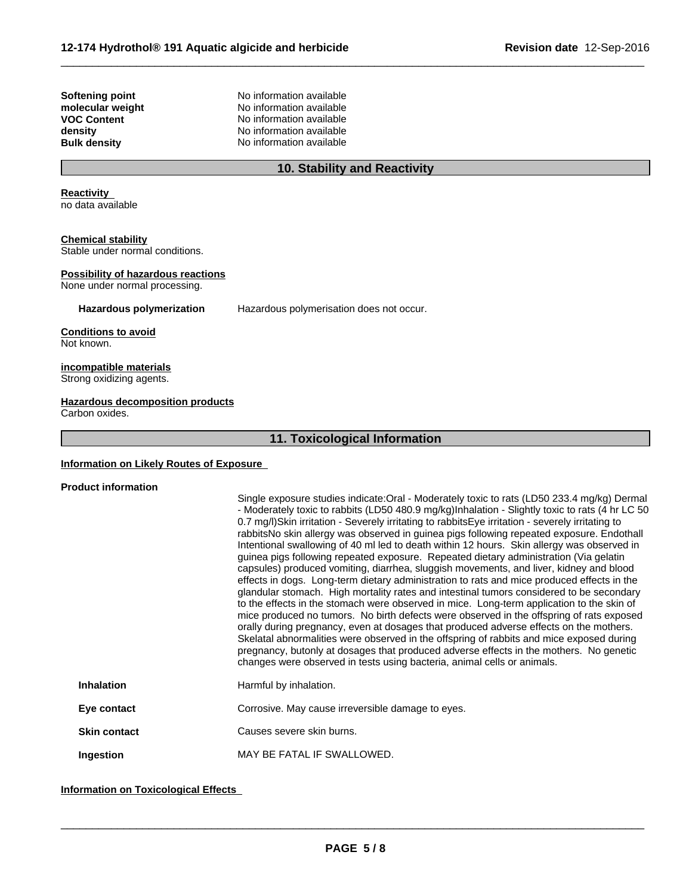**Softening point**<br> **Consequent**<br> **No information available**<br> **No information available molecular weight weight** No information available<br> **VOC Content No information available VOC Content**<br> **EXECUTE:** No information available<br>
No information available **density** No information available<br> **Bulk density** No information available **No information available** 

#### **10. Stability and Reactivity**

 $\overline{\phantom{a}}$  ,  $\overline{\phantom{a}}$  ,  $\overline{\phantom{a}}$  ,  $\overline{\phantom{a}}$  ,  $\overline{\phantom{a}}$  ,  $\overline{\phantom{a}}$  ,  $\overline{\phantom{a}}$  ,  $\overline{\phantom{a}}$  ,  $\overline{\phantom{a}}$  ,  $\overline{\phantom{a}}$  ,  $\overline{\phantom{a}}$  ,  $\overline{\phantom{a}}$  ,  $\overline{\phantom{a}}$  ,  $\overline{\phantom{a}}$  ,  $\overline{\phantom{a}}$  ,  $\overline{\phantom{a}}$ 

**Reactivity**

no data available

#### **Chemical stability**

Stable under normal conditions.

#### **Possibility of hazardous reactions**

None under normal processing.

**Hazardous polymerization** Hazardous polymerisation does not occur.

#### **Conditions to avoid** Not known.

**incompatible materials** Strong oxidizing agents.

#### **Hazardous decomposition products**

Carbon oxides.

#### **11. Toxicological Information**

#### **Information on Likely Routes of Exposure**

## **Product information**

|                     | Single exposure studies indicate: Oral - Moderately toxic to rats (LD50 233.4 mg/kg) Dermal<br>- Moderately toxic to rabbits (LD50 480.9 mg/kg)Inhalation - Slightly toxic to rats (4 hr LC 50<br>0.7 mg/l)Skin irritation - Severely irritating to rabbitsEye irritation - severely irritating to<br>rabbitsNo skin allergy was observed in guinea pigs following repeated exposure. Endothall<br>Intentional swallowing of 40 ml led to death within 12 hours. Skin allergy was observed in<br>guinea pigs following repeated exposure. Repeated dietary administration (Via gelatin<br>capsules) produced vomiting, diarrhea, sluggish movements, and liver, kidney and blood<br>effects in dogs. Long-term dietary administration to rats and mice produced effects in the<br>glandular stomach. High mortality rates and intestinal tumors considered to be secondary<br>to the effects in the stomach were observed in mice. Long-term application to the skin of<br>mice produced no tumors. No birth defects were observed in the offspring of rats exposed<br>orally during pregnancy, even at dosages that produced adverse effects on the mothers.<br>Skelatal abnormalities were observed in the offspring of rabbits and mice exposed during<br>pregnancy, butonly at dosages that produced adverse effects in the mothers. No genetic<br>changes were observed in tests using bacteria, animal cells or animals. |
|---------------------|--------------------------------------------------------------------------------------------------------------------------------------------------------------------------------------------------------------------------------------------------------------------------------------------------------------------------------------------------------------------------------------------------------------------------------------------------------------------------------------------------------------------------------------------------------------------------------------------------------------------------------------------------------------------------------------------------------------------------------------------------------------------------------------------------------------------------------------------------------------------------------------------------------------------------------------------------------------------------------------------------------------------------------------------------------------------------------------------------------------------------------------------------------------------------------------------------------------------------------------------------------------------------------------------------------------------------------------------------------------------------------------------------------------------------------|
| <b>Inhalation</b>   | Harmful by inhalation.                                                                                                                                                                                                                                                                                                                                                                                                                                                                                                                                                                                                                                                                                                                                                                                                                                                                                                                                                                                                                                                                                                                                                                                                                                                                                                                                                                                                         |
| Eye contact         | Corrosive. May cause irreversible damage to eyes.                                                                                                                                                                                                                                                                                                                                                                                                                                                                                                                                                                                                                                                                                                                                                                                                                                                                                                                                                                                                                                                                                                                                                                                                                                                                                                                                                                              |
| <b>Skin contact</b> | Causes severe skin burns.                                                                                                                                                                                                                                                                                                                                                                                                                                                                                                                                                                                                                                                                                                                                                                                                                                                                                                                                                                                                                                                                                                                                                                                                                                                                                                                                                                                                      |
| Ingestion           | MAY BE FATAL IF SWALLOWED.                                                                                                                                                                                                                                                                                                                                                                                                                                                                                                                                                                                                                                                                                                                                                                                                                                                                                                                                                                                                                                                                                                                                                                                                                                                                                                                                                                                                     |

#### **Information on Toxicological Effects**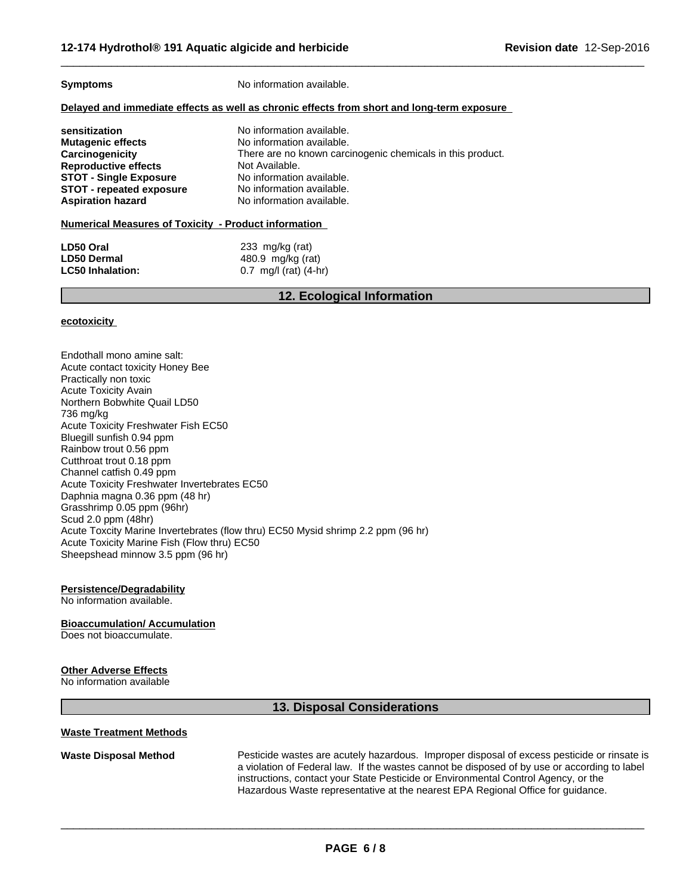**Symptoms** No information available.

#### **Delayed and immediate effects as well as chronic effects from short and long-term exposure**

| sensitization                   | No information available.                                  |
|---------------------------------|------------------------------------------------------------|
| Mutagenic effects               | No information available.                                  |
| Carcinogenicity                 | There are no known carcinogenic chemicals in this product. |
| <b>Reproductive effects</b>     | Not Available.                                             |
| <b>STOT - Single Exposure</b>   | No information available.                                  |
| <b>STOT - repeated exposure</b> | No information available.                                  |
| Aspiration hazard               | No information available.                                  |

#### **Numerical Measures of Toxicity - Product information**

| LD50 Oral               | 233 mg/kg (rat)         |  |
|-------------------------|-------------------------|--|
| <b>LD50 Dermal</b>      | 480.9 mg/kg (rat)       |  |
| <b>LC50 Inhalation:</b> | 0.7 mg/l (rat) $(4-hr)$ |  |

#### **12. Ecological Information**

 $\overline{\phantom{a}}$  ,  $\overline{\phantom{a}}$  ,  $\overline{\phantom{a}}$  ,  $\overline{\phantom{a}}$  ,  $\overline{\phantom{a}}$  ,  $\overline{\phantom{a}}$  ,  $\overline{\phantom{a}}$  ,  $\overline{\phantom{a}}$  ,  $\overline{\phantom{a}}$  ,  $\overline{\phantom{a}}$  ,  $\overline{\phantom{a}}$  ,  $\overline{\phantom{a}}$  ,  $\overline{\phantom{a}}$  ,  $\overline{\phantom{a}}$  ,  $\overline{\phantom{a}}$  ,  $\overline{\phantom{a}}$ 

#### **ecotoxicity**

Endothall mono amine salt: Acute contact toxicity Honey Bee Practically non toxic Acute Toxicity Avain Northern Bobwhite Quail LD50 736 mg/kg Acute Toxicity Freshwater Fish EC50 Bluegill sunfish 0.94 ppm Rainbow trout 0.56 ppm Cutthroat trout 0.18 ppm Channel catfish 0.49 ppm Acute Toxicity Freshwater Invertebrates EC50 Daphnia magna 0.36 ppm (48 hr) Grasshrimp 0.05 ppm (96hr) Scud 2.0 ppm (48hr) Acute Toxcity Marine Invertebrates (flow thru) EC50 Mysid shrimp 2.2 ppm (96 hr) Acute Toxicity Marine Fish (Flow thru) EC50 Sheepshead minnow 3.5 ppm (96 hr)

#### **Persistence/Degradability**

No information available.

#### **Bioaccumulation/ Accumulation**

Does not bioaccumulate.

#### **Other Adverse Effects**

No information available

#### **13. Disposal Considerations**

#### **Waste Treatment Methods**

**Waste Disposal Method** Pesticide wastes are acutely hazardous. Improper disposal of excess pesticide or rinsate is a violation of Federal law. If the wastes cannot be disposed of by use or according to label instructions, contact your State Pesticide or Environmental Control Agency, or the Hazardous Waste representative at the nearest EPA Regional Office for guidance.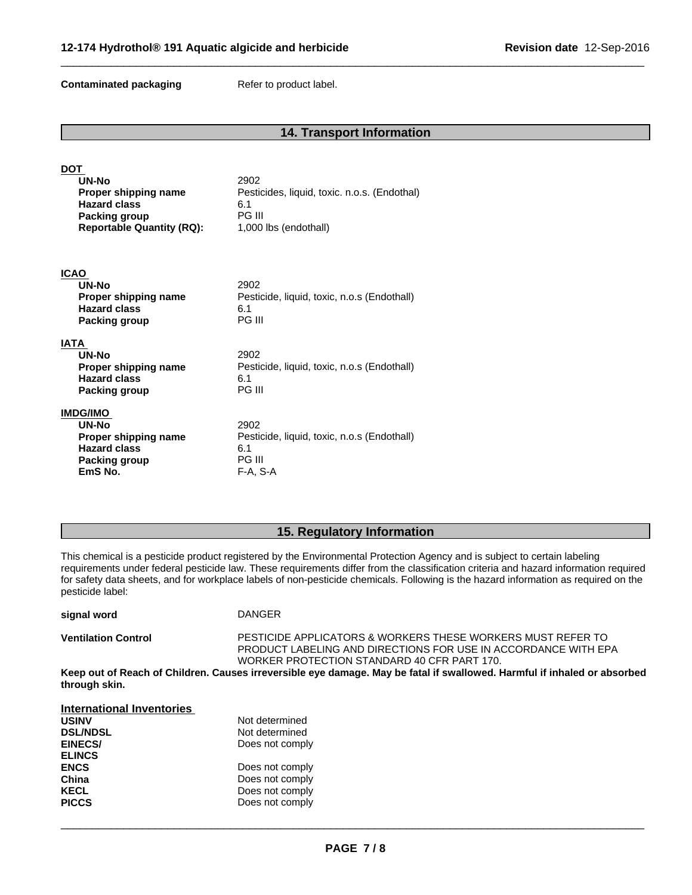**Contaminated packaging Refer to product label.** 

### **14. Transport Information**

 $\overline{\phantom{a}}$  ,  $\overline{\phantom{a}}$  ,  $\overline{\phantom{a}}$  ,  $\overline{\phantom{a}}$  ,  $\overline{\phantom{a}}$  ,  $\overline{\phantom{a}}$  ,  $\overline{\phantom{a}}$  ,  $\overline{\phantom{a}}$  ,  $\overline{\phantom{a}}$  ,  $\overline{\phantom{a}}$  ,  $\overline{\phantom{a}}$  ,  $\overline{\phantom{a}}$  ,  $\overline{\phantom{a}}$  ,  $\overline{\phantom{a}}$  ,  $\overline{\phantom{a}}$  ,  $\overline{\phantom{a}}$ 

| <b>DOT</b><br>UN-No<br>Proper shipping name<br><b>Hazard class</b><br><b>Packing group</b><br><b>Reportable Quantity (RQ):</b> | 2902<br>Pesticides, liquid, toxic. n.o.s. (Endothal)<br>6.1<br><b>PG III</b><br>1,000 lbs (endothall) |
|--------------------------------------------------------------------------------------------------------------------------------|-------------------------------------------------------------------------------------------------------|
| <b>ICAO</b>                                                                                                                    |                                                                                                       |
| UN-No                                                                                                                          | 2902                                                                                                  |
| Proper shipping name<br><b>Hazard class</b>                                                                                    | Pesticide, liquid, toxic, n.o.s (Endothall)<br>6.1                                                    |
| Packing group                                                                                                                  | <b>PG III</b>                                                                                         |
| <b>IATA</b>                                                                                                                    |                                                                                                       |
| UN-No                                                                                                                          | 2902                                                                                                  |
| Proper shipping name                                                                                                           | Pesticide, liquid, toxic, n.o.s (Endothall)                                                           |
| <b>Hazard class</b><br>Packing group                                                                                           | 6.1<br><b>PG III</b>                                                                                  |
|                                                                                                                                |                                                                                                       |
| <b>IMDG/IMO</b><br>UN-No                                                                                                       | 2902                                                                                                  |
| Proper shipping name                                                                                                           | Pesticide, liquid, toxic, n.o.s (Endothall)                                                           |
| <b>Hazard class</b><br>Packing group                                                                                           | 6.1<br><b>PG III</b>                                                                                  |
| EmS No.                                                                                                                        | $F-A, S-A$                                                                                            |
|                                                                                                                                |                                                                                                       |

#### **15. Regulatory Information**

This chemical is a pesticide product registered by the Environmental Protection Agency and is subject to certain labeling requirements under federal pesticide law. These requirements differ from the classification criteria and hazard information required for safety data sheets, and for workplace labels of non-pesticide chemicals. Following is the hazard information as required on the pesticide label:

| signal word                | <b>DANGER</b>                                                                |
|----------------------------|------------------------------------------------------------------------------|
| <b>Ventilation Control</b> | <b>PESTICIDE APPLICATORS &amp; WORKER</b><br>------------------------------- |

**E APPLICATORS & WORKERS THESE WORKERS MUST REFER TO** PRODUCT LABELING AND DIRECTIONS FOR USE IN ACCORDANCE WITH EPA WORKER PROTECTION STANDARD 40 CFR PART 170.

 $\overline{\phantom{a}}$  ,  $\overline{\phantom{a}}$  ,  $\overline{\phantom{a}}$  ,  $\overline{\phantom{a}}$  ,  $\overline{\phantom{a}}$  ,  $\overline{\phantom{a}}$  ,  $\overline{\phantom{a}}$  ,  $\overline{\phantom{a}}$  ,  $\overline{\phantom{a}}$  ,  $\overline{\phantom{a}}$  ,  $\overline{\phantom{a}}$  ,  $\overline{\phantom{a}}$  ,  $\overline{\phantom{a}}$  ,  $\overline{\phantom{a}}$  ,  $\overline{\phantom{a}}$  ,  $\overline{\phantom{a}}$ 

Keep out of Reach of Children. Causes irreversible eye damage. May be fatal if swallowed. Harmful if inhaled or absorbed **through skin.**

| <b>International Inventories</b> |                 |
|----------------------------------|-----------------|
| <b>USINV</b>                     | Not determined  |
| <b>DSL/NDSL</b>                  | Not determined  |
| <b>EINECS/</b>                   | Does not comply |
| <b>ELINCS</b>                    |                 |
| <b>ENCS</b>                      | Does not comply |
| China                            | Does not comply |
| <b>KECL</b>                      | Does not comply |
| <b>PICCS</b>                     | Does not comply |